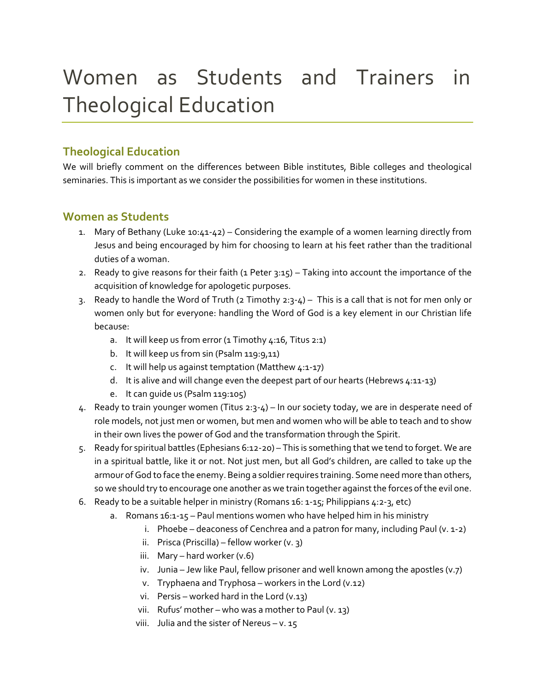# Women as Students and Trainers in Theological Education

# **Theological Education**

We will briefly comment on the differences between Bible institutes, Bible colleges and theological seminaries. This is important as we consider the possibilities for women in these institutions.

# **Women as Students**

- 1. Mary of Bethany (Luke 10:41-42) Considering the example of a women learning directly from Jesus and being encouraged by him for choosing to learn at his feet rather than the traditional duties of a woman.
- 2. Ready to give reasons for their faith (1 Peter 3:15) Taking into account the importance of the acquisition of knowledge for apologetic purposes.
- 3. Ready to handle the Word of Truth (2 Timothy  $2:3-4$ ) This is a call that is not for men only or women only but for everyone: handling the Word of God is a key element in our Christian life because:
	- a. It will keep us from error (1 Timothy 4:16, Titus 2:1)
	- b. It will keep us from sin (Psalm 119:9,11)
	- c. It will help us against temptation (Matthew  $4:1-17$ )
	- d. It is alive and will change even the deepest part of our hearts (Hebrews 4:11-13)
	- e. It can guide us (Psalm 119:105)
- 4. Ready to train younger women (Titus 2:3-4) In our society today, we are in desperate need of role models, not just men or women, but men and women who will be able to teach and to show in their own lives the power of God and the transformation through the Spirit.
- 5. Ready for spiritual battles (Ephesians 6:12-20) This is something that we tend to forget. We are in a spiritual battle, like it or not. Not just men, but all God's children, are called to take up the armour of God to face the enemy. Being a soldier requires training. Some need more than others, so we should try to encourage one another as we train together against the forces of the evil one.
- 6. Ready to be a suitable helper in ministry (Romans 16: 1-15; Philippians 4:2-3, etc)
	- a. Romans 16:1-15 Paul mentions women who have helped him in his ministry
		- i. Phoebe deaconess of Cenchrea and a patron for many, including Paul (v. 1-2)
		- ii. Prisca (Priscilla) fellow worker (v. 3)
		- iii. Mary hard worker (v.6)
		- iv. Junia Jew like Paul, fellow prisoner and well known among the apostles (v.7)
		- v. Tryphaena and Tryphosa workers in the Lord (v.12)
		- vi. Persis worked hard in the Lord (v.13)
		- vii. Rufus' mother who was a mother to Paul (v. 13)
		- viii. Julia and the sister of Nereus v.  $15$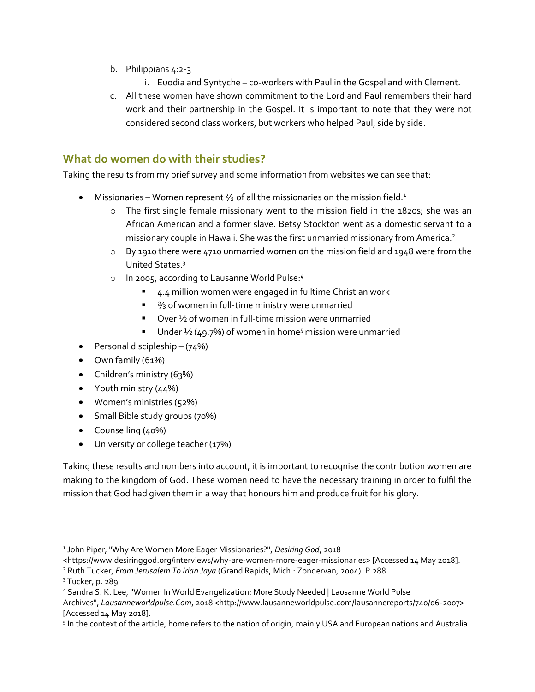- b. Philippians 4:2-3
	- i. Euodia and Syntyche co-workers with Paul in the Gospel and with Clement.
- c. All these women have shown commitment to the Lord and Paul remembers their hard work and their partnership in the Gospel. It is important to note that they were not considered second class workers, but workers who helped Paul, side by side.

## **What do women do with their studies?**

Taking the results from my brief survey and some information from websites we can see that:

- Missionaries Women represent <sup>2</sup>/<sub>3</sub> of all the missionaries on the mission field.<sup>1</sup>
	- $\circ$  The first single female missionary went to the mission field in the 1820s; she was an African American and a former slave. Betsy Stockton went as a domestic servant to a missionary couple in Hawaii. She was the first unmarried missionary from America.<sup>2</sup>
	- o By 1910 there were 4710 unmarried women on the mission field and 1948 were from the United States.<sup>3</sup>
	- o In 2005, according to Lausanne World Pulse:<sup>4</sup>
		- 4.4 million women were engaged in fulltime Christian work
		- <sup>2</sup>/<sub>3</sub> of women in full-time ministry were unmarried
		- Over 1⁄2 of women in full-time mission were unmarried
		- **■** Under  $\frac{1}{2}$  (49.7%) of women in home<sup>5</sup> mission were unmarried
- Personal discipleship  $-(74%)$
- Own family (61%)
- Children's ministry (63%)
- Youth ministry (44%)
- Women's ministries (52%)
- Small Bible study groups (70%)
- Counselling (40%)
- University or college teacher (17%)

Taking these results and numbers into account, it is important to recognise the contribution women are making to the kingdom of God. These women need to have the necessary training in order to fulfil the mission that God had given them in a way that honours him and produce fruit for his glory.

 $\overline{a}$ 

<sup>1</sup> John Piper, "Why Are Women More Eager Missionaries?", *Desiring God*, 2018

<sup>&</sup>lt;https://www.desiringgod.org/interviews/why-are-women-more-eager-missionaries> [Accessed 14 May 2018].

<sup>2</sup> Ruth Tucker, *From Jerusalem To Irian Jaya* (Grand Rapids, Mich.: Zondervan, 2004). P.288

<sup>3</sup> Tucker, p. 289

<sup>4</sup> Sandra S. K. Lee, "Women In World Evangelization: More Study Needed | Lausanne World Pulse

Archives", Lausanneworldpulse.Com, 2018 <http://www.lausanneworldpulse.com/lausannereports/740/06-2007> [Accessed 14 May 2018].

<sup>5</sup> In the context of the article, home refers to the nation of origin, mainly USA and European nations and Australia.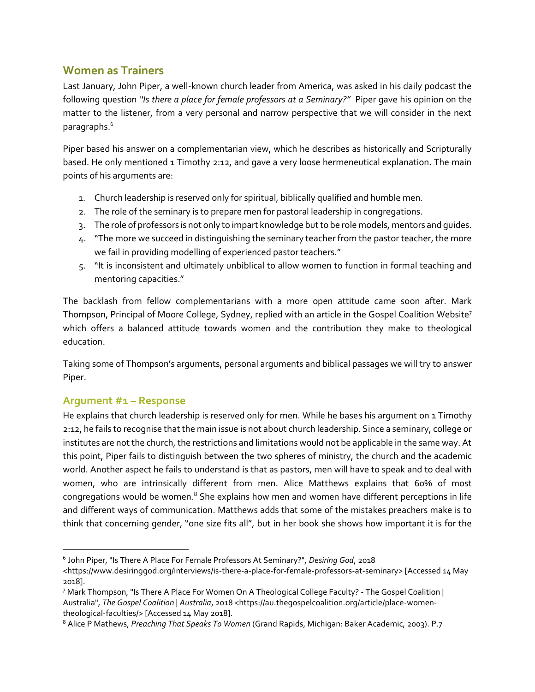# **Women as Trainers**

Last January, John Piper, a well-known church leader from America, was asked in his daily podcast the following question *"Is there a place for female professors at a Seminary?"* Piper gave his opinion on the matter to the listener, from a very personal and narrow perspective that we will consider in the next paragraphs.<sup>6</sup>

Piper based his answer on a complementarian view, which he describes as historically and Scripturally based. He only mentioned 1 Timothy 2:12, and gave a very loose hermeneutical explanation. The main points of his arguments are:

- 1. Church leadership is reserved only for spiritual, biblically qualified and humble men.
- 2. The role of the seminary is to prepare men for pastoral leadership in congregations.
- 3. The role of professors is not only to impart knowledge but to be role models, mentors and guides.
- 4. "The more we succeed in distinguishing the seminary teacher from the pastor teacher, the more we fail in providing modelling of experienced pastor teachers."
- 5. "It is inconsistent and ultimately unbiblical to allow women to function in formal teaching and mentoring capacities."

The backlash from fellow complementarians with a more open attitude came soon after. Mark Thompson, Principal of Moore College, Sydney, replied with an article in the Gospel Coalition Website<sup>7</sup> which offers a balanced attitude towards women and the contribution they make to theological education.

Taking some of Thompson's arguments, personal arguments and biblical passages we will try to answer Piper.

## **Argument #1 – Response**

He explains that church leadership is reserved only for men. While he bases his argument on 1 Timothy 2:12, he fails to recognise that the main issue is not about church leadership. Since a seminary, college or institutes are not the church, the restrictions and limitations would not be applicable in the same way. At this point, Piper fails to distinguish between the two spheres of ministry, the church and the academic world. Another aspect he fails to understand is that as pastors, men will have to speak and to deal with women, who are intrinsically different from men. Alice Matthews explains that 60% of most congregations would be women. $8$  She explains how men and women have different perceptions in life and different ways of communication. Matthews adds that some of the mistakes preachers make is to think that concerning gender, "one size fits all", but in her book she shows how important it is for the

<sup>6</sup> John Piper, "Is There A Place For Female Professors At Seminary?", *Desiring God*, 2018

<sup>&</sup>lt;https://www.desiringgod.org/interviews/is-there-a-place-for-female-professors-at-seminary> [Accessed 14 May 2018].

<sup>7</sup> Mark Thompson, "Is There A Place For Women On A Theological College Faculty? - The Gospel Coalition | Australia", *The Gospel Coalition | Australia*, 2018 <https://au.thegospelcoalition.org/article/place-womentheological-faculties/> [Accessed 14 May 2018].

<sup>8</sup> Alice P Mathews, *Preaching That Speaks To Women* (Grand Rapids, Michigan: Baker Academic, 2003). P.7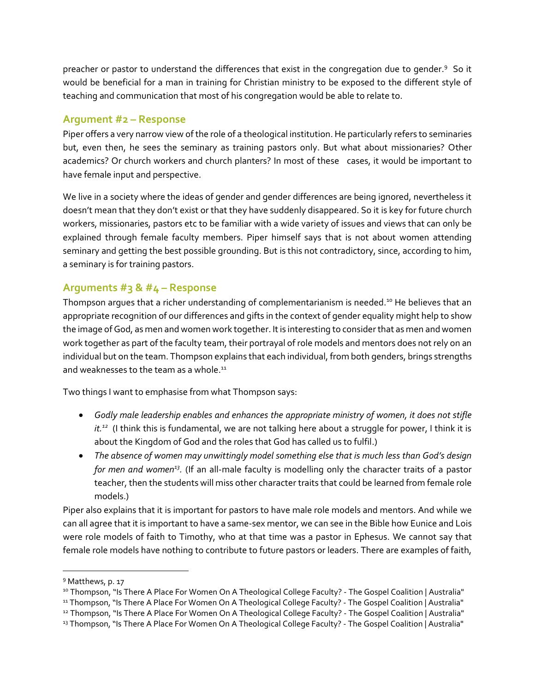preacher or pastor to understand the differences that exist in the congregation due to gender.<sup>9</sup> So it would be beneficial for a man in training for Christian ministry to be exposed to the different style of teaching and communication that most of his congregation would be able to relate to.

#### **Argument #2 – Response**

Piper offers a very narrow view of the role of a theological institution. He particularly refers to seminaries but, even then, he sees the seminary as training pastors only. But what about missionaries? Other academics? Or church workers and church planters? In most of these cases, it would be important to have female input and perspective.

We live in a society where the ideas of gender and gender differences are being ignored, nevertheless it doesn't mean that they don't exist or that they have suddenly disappeared. So it is key for future church workers, missionaries, pastors etc to be familiar with a wide variety of issues and views that can only be explained through female faculty members. Piper himself says that is not about women attending seminary and getting the best possible grounding. But is this not contradictory, since, according to him, a seminary is for training pastors.

## **Arguments #3 & #4 – Response**

Thompson argues that a richer understanding of complementarianism is needed.<sup>10</sup> He believes that an appropriate recognition of our differences and gifts in the context of gender equality might help to show the image of God, as men and women work together. It is interesting to consider that as men and women work together as part of the faculty team, their portrayal of role models and mentors does not rely on an individual but on the team. Thompson explains that each individual, from both genders, brings strengths and weaknesses to the team as a whole.<sup>11</sup>

Two things I want to emphasise from what Thompson says:

- *Godly male leadership enables and enhances the appropriate ministry of women, it does not stifle it.<sup>12</sup>* (I think this is fundamental, we are not talking here about a struggle for power, I think it is about the Kingdom of God and the roles that God has called us to fulfil.)
- *The absence of women may unwittingly model something else that is much less than God's design*  for men and women<sup>13</sup>. (If an all-male faculty is modelling only the character traits of a pastor teacher, then the students will miss other character traits that could be learned from female role models.)

Piper also explains that it is important for pastors to have male role models and mentors. And while we can all agree that it is important to have a same-sex mentor, we can see in the Bible how Eunice and Lois were role models of faith to Timothy, who at that time was a pastor in Ephesus. We cannot say that female role models have nothing to contribute to future pastors or leaders. There are examples of faith,

<sup>9</sup> Matthews, p. 17

<sup>&</sup>lt;sup>10</sup> Thompson, "Is There A Place For Women On A Theological College Faculty? - The Gospel Coalition | Australia"

<sup>&</sup>lt;sup>11</sup> Thompson, "Is There A Place For Women On A Theological College Faculty? - The Gospel Coalition | Australia"

<sup>&</sup>lt;sup>12</sup> Thompson, "Is There A Place For Women On A Theological College Faculty? - The Gospel Coalition | Australia"

<sup>13</sup> Thompson, "Is There A Place For Women On A Theological College Faculty? - The Gospel Coalition | Australia"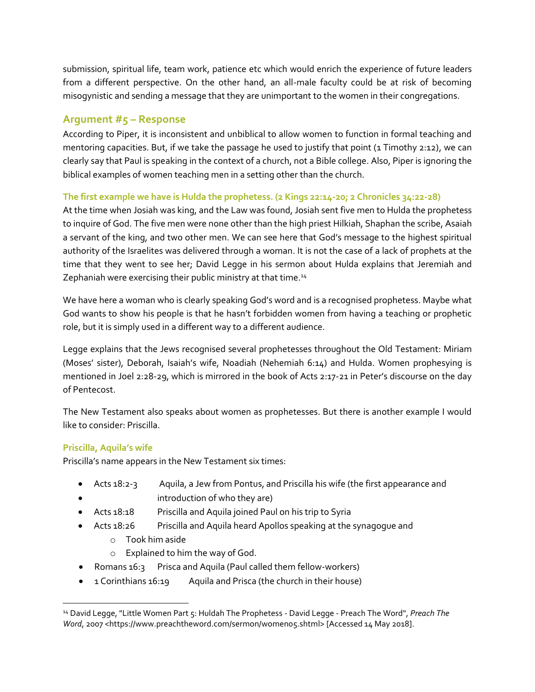submission, spiritual life, team work, patience etc which would enrich the experience of future leaders from a different perspective. On the other hand, an all-male faculty could be at risk of becoming misogynistic and sending a message that they are unimportant to the women in their congregations.

## **Argument #5 – Response**

According to Piper, it is inconsistent and unbiblical to allow women to function in formal teaching and mentoring capacities. But, if we take the passage he used to justify that point (1 Timothy 2:12), we can clearly say that Paul is speaking in the context of a church, not a Bible college. Also, Piper is ignoring the biblical examples of women teaching men in a setting other than the church.

#### **The first example we have is Hulda the prophetess. (2 Kings 22:14-20; 2 Chronicles 34:22-28)**

At the time when Josiah was king, and the Law was found, Josiah sent five men to Hulda the prophetess to inquire of God. The five men were none other than the high priest Hilkiah, Shaphan the scribe, Asaiah a servant of the king, and two other men. We can see here that God's message to the highest spiritual authority of the Israelites was delivered through a woman. It is not the case of a lack of prophets at the time that they went to see her; David Legge in his sermon about Hulda explains that Jeremiah and Zephaniah were exercising their public ministry at that time.<sup>14</sup>

We have here a woman who is clearly speaking God's word and is a recognised prophetess. Maybe what God wants to show his people is that he hasn't forbidden women from having a teaching or prophetic role, but it is simply used in a different way to a different audience.

Legge explains that the Jews recognised several prophetesses throughout the Old Testament: Miriam (Moses' sister), Deborah, Isaiah's wife, Noadiah (Nehemiah 6:14) and Hulda. Women prophesying is mentioned in Joel 2:28-29, which is mirrored in the book of Acts 2:17-21 in Peter's discourse on the day of Pentecost.

The New Testament also speaks about women as prophetesses. But there is another example I would like to consider: Priscilla.

#### **Priscilla, Aquila's wife**

Priscilla's name appears in the New Testament six times:

- Acts 18:2-3 Aquila, a Jew from Pontus, and Priscilla his wife (the first appearance and
- introduction of who they are)
- Acts 18:18 Priscilla and Aquila joined Paul on his trip to Syria
- Acts 18:26 Priscilla and Aquila heard Apollos speaking at the synagogue and
	- o Took him aside
	- o Explained to him the way of God.
- Romans 16:3 Prisca and Aquila (Paul called them fellow-workers)
- 1 Corinthians 16:19 Aquila and Prisca (the church in their house)

<sup>14</sup> David Legge, "Little Women Part 5: Huldah The Prophetess - David Legge - Preach The Word", *Preach The Word*, 2007 <https://www.preachtheword.com/sermon/women05.shtml> [Accessed 14 May 2018].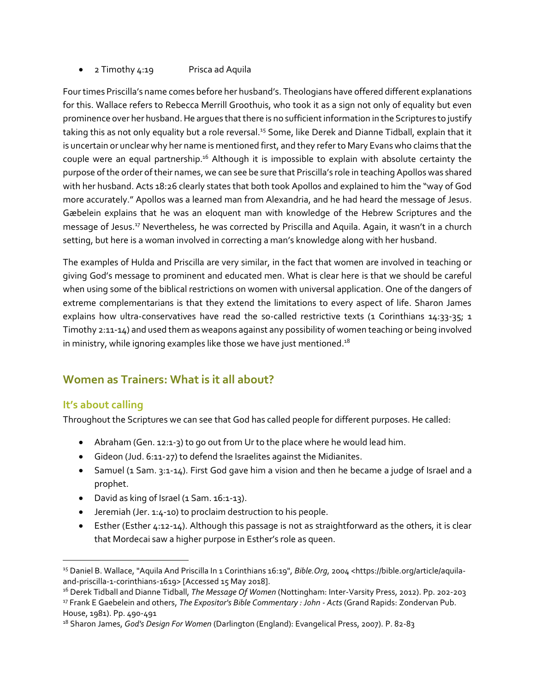• 2 Timothy 4:19 Prisca ad Aquila

Four times Priscilla's name comes before her husband's. Theologians have offered different explanations for this. Wallace refers to Rebecca Merrill Groothuis, who took it as a sign not only of equality but even prominence over her husband. He argues that there is no sufficient information in the Scriptures to justify taking this as not only equality but a role reversal.<sup>15</sup> Some, like Derek and Dianne Tidball, explain that it is uncertain or unclear why her name is mentioned first, and they refer to Mary Evans who claims that the couple were an equal partnership.<sup>16</sup> Although it is impossible to explain with absolute certainty the purpose of the order of their names, we can see be sure that Priscilla's role in teaching Apollos was shared with her husband. Acts 18:26 clearly states that both took Apollos and explained to him the "way of God more accurately." Apollos was a learned man from Alexandria, and he had heard the message of Jesus. Gæbelein explains that he was an eloquent man with knowledge of the Hebrew Scriptures and the message of Jesus.<sup>17</sup> Nevertheless, he was corrected by Priscilla and Aquila. Again, it wasn't in a church setting, but here is a woman involved in correcting a man's knowledge along with her husband.

The examples of Hulda and Priscilla are very similar, in the fact that women are involved in teaching or giving God's message to prominent and educated men. What is clear here is that we should be careful when using some of the biblical restrictions on women with universal application. One of the dangers of extreme complementarians is that they extend the limitations to every aspect of life. Sharon James explains how ultra-conservatives have read the so-called restrictive texts (1 Corinthians 14:33-35; 1 Timothy 2:11-14) and used them as weapons against any possibility of women teaching or being involved in ministry, while ignoring examples like those we have just mentioned. $18$ 

# **Women as Trainers: What is it all about?**

## **It's about calling**

Throughout the Scriptures we can see that God has called people for different purposes. He called:

- Abraham (Gen. 12:1-3) to go out from Ur to the place where he would lead him.
- Gideon (Jud. 6:11-27) to defend the Israelites against the Midianites.
- Samuel (1 Sam. 3:1-14). First God gave him a vision and then he became a judge of Israel and a prophet.
- David as king of Israel (1 Sam. 16:1-13).
- Jeremiah (Jer. 1:4-10) to proclaim destruction to his people.
- Esther (Esther 4:12-14). Although this passage is not as straightforward as the others, it is clear that Mordecai saw a higher purpose in Esther's role as queen.

 <sup>15</sup> Daniel B. Wallace, "Aquila And Priscilla In 1 Corinthians 16:19", *Bible.Org*, 2004 <https://bible.org/article/aquilaand-priscilla-1-corinthians-1619> [Accessed 15 May 2018].

<sup>16</sup> Derek Tidball and Dianne Tidball, *The Message Of Women* (Nottingham: Inter-Varsity Press, 2012). Pp. 202-203 <sup>17</sup> Frank E Gaebelein and others, *The Expositor's Bible Commentary : John - Acts* (Grand Rapids: Zondervan Pub. House, 1981). Pp. 490-491

<sup>18</sup> Sharon James, *God's Design For Women* (Darlington (England): Evangelical Press, 2007). P. 82-83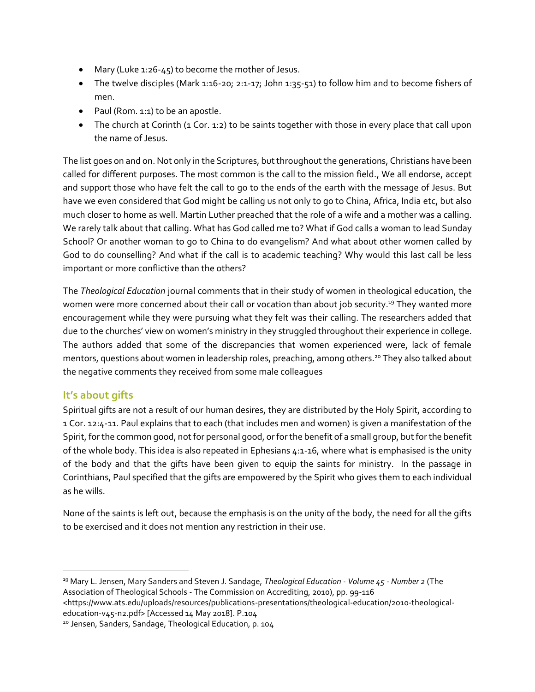- Mary (Luke 1:26-45) to become the mother of Jesus.
- The twelve disciples (Mark 1:16-20; 2:1-17; John 1:35-51) to follow him and to become fishers of men.
- Paul (Rom. 1:1) to be an apostle.
- The church at Corinth (1 Cor. 1:2) to be saints together with those in every place that call upon the name of Jesus.

The list goes on and on. Not only in the Scriptures, but throughout the generations, Christians have been called for different purposes. The most common is the call to the mission field., We all endorse, accept and support those who have felt the call to go to the ends of the earth with the message of Jesus. But have we even considered that God might be calling us not only to go to China, Africa, India etc, but also much closer to home as well. Martin Luther preached that the role of a wife and a mother was a calling. We rarely talk about that calling. What has God called me to? What if God calls a woman to lead Sunday School? Or another woman to go to China to do evangelism? And what about other women called by God to do counselling? And what if the call is to academic teaching? Why would this last call be less important or more conflictive than the others?

The *Theological Education* journal comments that in their study of women in theological education, the women were more concerned about their call or vocation than about job security.<sup>19</sup> They wanted more encouragement while they were pursuing what they felt was their calling. The researchers added that due to the churches' view on women's ministry in they struggled throughout their experience in college. The authors added that some of the discrepancies that women experienced were, lack of female mentors, questions about women in leadership roles, preaching, among others.<sup>20</sup> They also talked about the negative comments they received from some male colleagues

# **It's about gifts**

Spiritual gifts are not a result of our human desires, they are distributed by the Holy Spirit, according to 1 Cor. 12:4-11. Paul explains that to each (that includes men and women) is given a manifestation of the Spirit, for the common good, not for personal good, or for the benefit of a small group, but forthe benefit of the whole body. This idea is also repeated in Ephesians 4:1-16, where what is emphasised is the unity of the body and that the gifts have been given to equip the saints for ministry. In the passage in Corinthians, Paul specified that the gifts are empowered by the Spirit who gives them to each individual as he wills.

None of the saints is left out, because the emphasis is on the unity of the body, the need for all the gifts to be exercised and it does not mention any restriction in their use.

 <sup>19</sup> Mary L. Jensen, Mary Sanders and Steven J. Sandage, *Theological Education - Volume 45 - Number 2* (The Association of Theological Schools - The Commission on Accrediting, 2010), pp. 99-116

<sup>&</sup>lt;https://www.ats.edu/uploads/resources/publications-presentations/theological-education/2010-theologicaleducation-v45-n2.pdf> [Accessed 14 May 2018]. P.104

<sup>20</sup> Jensen, Sanders, Sandage, Theological Education, p. 104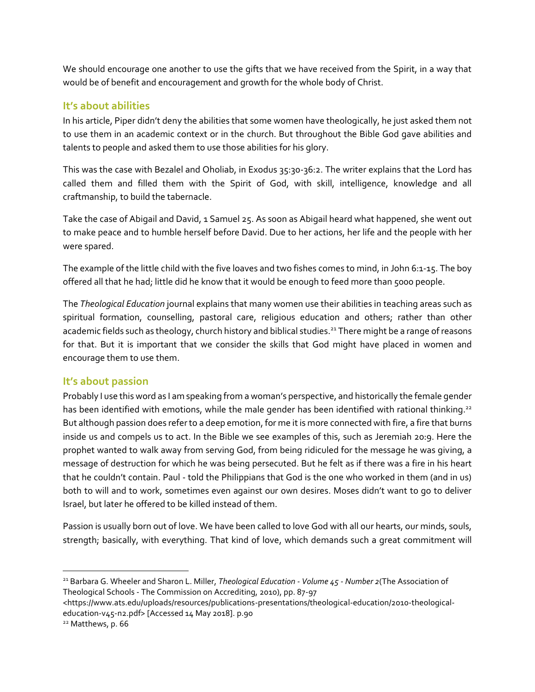We should encourage one another to use the gifts that we have received from the Spirit, in a way that would be of benefit and encouragement and growth for the whole body of Christ.

## **It's about abilities**

In his article, Piper didn't deny the abilities that some women have theologically, he just asked them not to use them in an academic context or in the church. But throughout the Bible God gave abilities and talents to people and asked them to use those abilities for his glory.

This was the case with Bezalel and Oholiab, in Exodus 35:30-36:2. The writer explains that the Lord has called them and filled them with the Spirit of God, with skill, intelligence, knowledge and all craftmanship, to build the tabernacle.

Take the case of Abigail and David, 1 Samuel 25. As soon as Abigail heard what happened, she went out to make peace and to humble herself before David. Due to her actions, her life and the people with her were spared.

The example of the little child with the five loaves and two fishes comes to mind, in John 6:1-15. The boy offered all that he had; little did he know that it would be enough to feed more than 5000 people.

The *Theological Education* journal explains that many women use their abilities in teaching areas such as spiritual formation, counselling, pastoral care, religious education and others; rather than other academic fields such as theology, church history and biblical studies.<sup>21</sup> There might be a range of reasons for that. But it is important that we consider the skills that God might have placed in women and encourage them to use them.

## **It's about passion**

Probably I use this word as I am speaking from a woman's perspective, and historically the female gender has been identified with emotions, while the male gender has been identified with rational thinking.<sup>22</sup> But although passion does refer to a deep emotion, for me it is more connected with fire, a fire that burns inside us and compels us to act. In the Bible we see examples of this, such as Jeremiah 20:9. Here the prophet wanted to walk away from serving God, from being ridiculed for the message he was giving, a message of destruction for which he was being persecuted. But he felt as if there was a fire in his heart that he couldn't contain. Paul - told the Philippians that God is the one who worked in them (and in us) both to will and to work, sometimes even against our own desires. Moses didn't want to go to deliver Israel, but later he offered to be killed instead of them.

Passion is usually born out of love. We have been called to love God with all our hearts, our minds, souls, strength; basically, with everything. That kind of love, which demands such a great commitment will

<sup>21</sup> Barbara G. Wheeler and Sharon L. Miller, *Theological Education - Volume 45 - Number 2*(The Association of Theological Schools - The Commission on Accrediting, 2010), pp. 87-97

<sup>&</sup>lt;https://www.ats.edu/uploads/resources/publications-presentations/theological-education/2010-theologicaleducation-v45-n2.pdf> [Accessed 14 May 2018]. p.90

<sup>22</sup> Matthews, p. 66